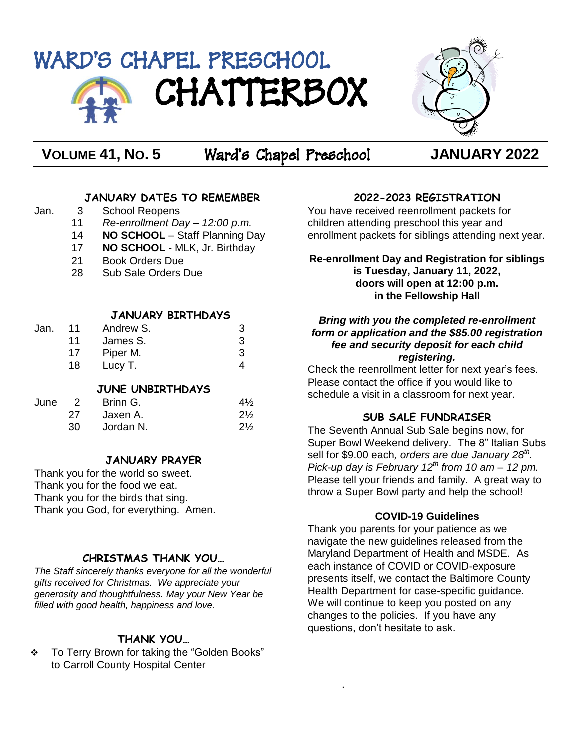# WARD'S CHAPEL PRESCHOOL CHATTERBOX



**VOLUME 41, NO. 5** Ward's Chapel Preschool **JANUARY 2022**

## **JANUARY DATES TO REMEMBER**

- Jan. 3 School Reopens 11 *Re-enrollment Day – 12:00 p.m.*
	- 14 **NO SCHOOL** Staff Planning Day
	- 17 **NO SCHOOL** MLK, Jr. Birthday
	- 21 Book Orders Due
	- 28 Sub Sale Orders Due

## **JANUARY BIRTHDAYS**

| Jan. | 11 | Andrew S. | 3 |
|------|----|-----------|---|
|      | 11 | James S.  | З |
|      | 17 | Piper M.  | З |
|      | 18 | Lucy T.   |   |

## **JUNE UNBIRTHDAYS**

| June | $\overline{2}$ | Brinn G.  | $4\frac{1}{2}$ |
|------|----------------|-----------|----------------|
|      | 27             | Jaxen A.  | $2\frac{1}{2}$ |
|      | 30.            | Jordan N. | $2\frac{1}{2}$ |

# **JANUARY PRAYER**

Thank you for the world so sweet. Thank you for the food we eat. Thank you for the birds that sing. Thank you God, for everything. Amen.

# **CHRISTMAS THANK YOU…**

*The Staff sincerely thanks everyone for all the wonderful gifts received for Christmas. We appreciate your generosity and thoughtfulness. May your New Year be filled with good health, happiness and love.*

# **THANK YOU…**

 To Terry Brown for taking the "Golden Books" to Carroll County Hospital Center

# **2022-2023 REGISTRATION**

You have received reenrollment packets for children attending preschool this year and enrollment packets for siblings attending next year.

## **Re-enrollment Day and Registration for siblings is Tuesday, January 11, 2022, doors will open at 12:00 p.m. in the Fellowship Hall**

#### *Bring with you the completed re-enrollment form or application and the \$85.00 registration fee and security deposit for each child registering.*

Check the reenrollment letter for next year's fees. Please contact the office if you would like to schedule a visit in a classroom for next year.

# **SUB SALE FUNDRAISER**

The Seventh Annual Sub Sale begins now, for Super Bowl Weekend delivery. The 8" Italian Subs sell for \$9.00 each*, orders are due January 28th . Pick-up day is February 12 th from 10 am – 12 pm.* Please tell your friends and family. A great way to throw a Super Bowl party and help the school!

# **COVID-19 Guidelines**

Thank you parents for your patience as we navigate the new guidelines released from the Maryland Department of Health and MSDE. As each instance of COVID or COVID-exposure presents itself, we contact the Baltimore County Health Department for case-specific guidance. We will continue to keep you posted on any changes to the policies. If you have any questions, don't hesitate to ask.

.